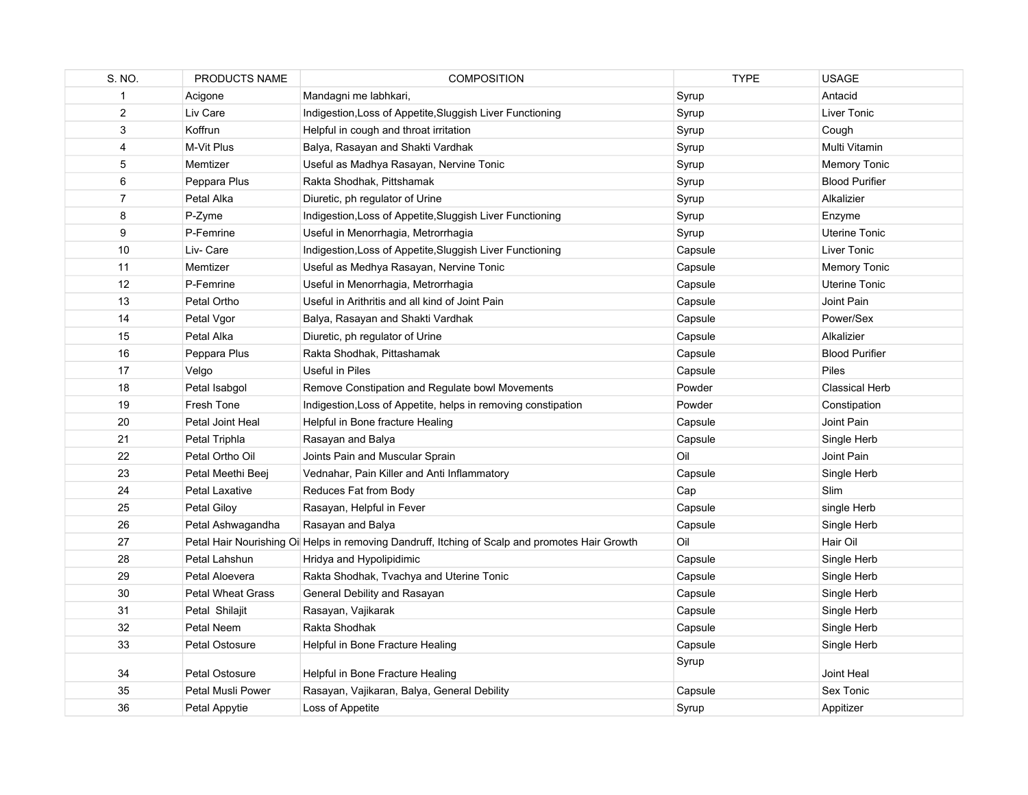| S. NO.         | PRODUCTS NAME            | <b>COMPOSITION</b>                                                                              | <b>TYPE</b> | <b>USAGE</b>          |
|----------------|--------------------------|-------------------------------------------------------------------------------------------------|-------------|-----------------------|
| 1              | Acigone                  | Mandagni me labhkari,                                                                           | Syrup       | Antacid               |
| $\overline{2}$ | Liv Care                 | Indigestion, Loss of Appetite, Sluggish Liver Functioning                                       | Syrup       | Liver Tonic           |
| $\mathsf 3$    | Koffrun                  | Helpful in cough and throat irritation                                                          | Syrup       | Cough                 |
| $\overline{4}$ | M-Vit Plus               | Balya, Rasayan and Shakti Vardhak                                                               | Syrup       | Multi Vitamin         |
| 5              | Memtizer                 | Useful as Madhya Rasayan, Nervine Tonic                                                         | Syrup       | <b>Memory Tonic</b>   |
| 6              | Peppara Plus             | Rakta Shodhak, Pittshamak                                                                       | Syrup       | <b>Blood Purifier</b> |
| $\overline{7}$ | Petal Alka               | Diuretic, ph regulator of Urine                                                                 | Syrup       | Alkalizier            |
| 8              | P-Zyme                   | Indigestion, Loss of Appetite, Sluggish Liver Functioning                                       | Syrup       | Enzyme                |
| 9              | P-Femrine                | Useful in Menorrhagia, Metrorrhagia                                                             | Syrup       | Uterine Tonic         |
| 10             | Liv- Care                | Indigestion, Loss of Appetite, Sluggish Liver Functioning                                       | Capsule     | Liver Tonic           |
| 11             | Memtizer                 | Useful as Medhya Rasayan, Nervine Tonic                                                         | Capsule     | <b>Memory Tonic</b>   |
| 12             | P-Femrine                | Useful in Menorrhagia, Metrorrhagia                                                             | Capsule     | <b>Uterine Tonic</b>  |
| 13             | Petal Ortho              | Useful in Arithritis and all kind of Joint Pain                                                 | Capsule     | Joint Pain            |
| 14             | Petal Vgor               | Balya, Rasayan and Shakti Vardhak                                                               | Capsule     | Power/Sex             |
| 15             | Petal Alka               | Diuretic, ph regulator of Urine                                                                 | Capsule     | Alkalizier            |
| 16             | Peppara Plus             | Rakta Shodhak, Pittashamak                                                                      | Capsule     | <b>Blood Purifier</b> |
| 17             | Velgo                    | Useful in Piles                                                                                 | Capsule     | Piles                 |
| 18             | Petal Isabgol            | Remove Constipation and Regulate bowl Movements                                                 | Powder      | <b>Classical Herb</b> |
| 19             | Fresh Tone               | Indigestion, Loss of Appetite, helps in removing constipation                                   | Powder      | Constipation          |
| 20             | Petal Joint Heal         | Helpful in Bone fracture Healing                                                                | Capsule     | Joint Pain            |
| 21             | Petal Triphla            | Rasayan and Balya                                                                               | Capsule     | Single Herb           |
| 22             | Petal Ortho Oil          | Joints Pain and Muscular Sprain                                                                 | Oil         | Joint Pain            |
| 23             | Petal Meethi Beej        | Vednahar, Pain Killer and Anti Inflammatory                                                     | Capsule     | Single Herb           |
| 24             | Petal Laxative           | Reduces Fat from Body                                                                           | Cap         | <b>Slim</b>           |
| 25             | Petal Giloy              | Rasayan, Helpful in Fever                                                                       | Capsule     | single Herb           |
| 26             | Petal Ashwagandha        | Rasayan and Balya                                                                               | Capsule     | Single Herb           |
| 27             |                          | Petal Hair Nourishing Oil Helps in removing Dandruff, Itching of Scalp and promotes Hair Growth | Oil         | Hair Oil              |
| 28             | Petal Lahshun            | Hridya and Hypolipidimic                                                                        | Capsule     | Single Herb           |
| 29             | Petal Aloevera           | Rakta Shodhak, Tvachya and Uterine Tonic                                                        | Capsule     | Single Herb           |
| 30             | <b>Petal Wheat Grass</b> | General Debility and Rasayan                                                                    | Capsule     | Single Herb           |
| 31             | Petal Shilajit           | Rasayan, Vajikarak                                                                              | Capsule     | Single Herb           |
| 32             | Petal Neem               | Rakta Shodhak                                                                                   | Capsule     | Single Herb           |
| 33             | Petal Ostosure           | Helpful in Bone Fracture Healing                                                                | Capsule     | Single Herb           |
|                |                          |                                                                                                 | Syrup       |                       |
| 34             | Petal Ostosure           | Helpful in Bone Fracture Healing                                                                |             | Joint Heal            |
| 35             | Petal Musli Power        | Rasayan, Vajikaran, Balya, General Debility                                                     | Capsule     | Sex Tonic             |
| 36             | Petal Appytie            | Loss of Appetite                                                                                | Syrup       | Appitizer             |